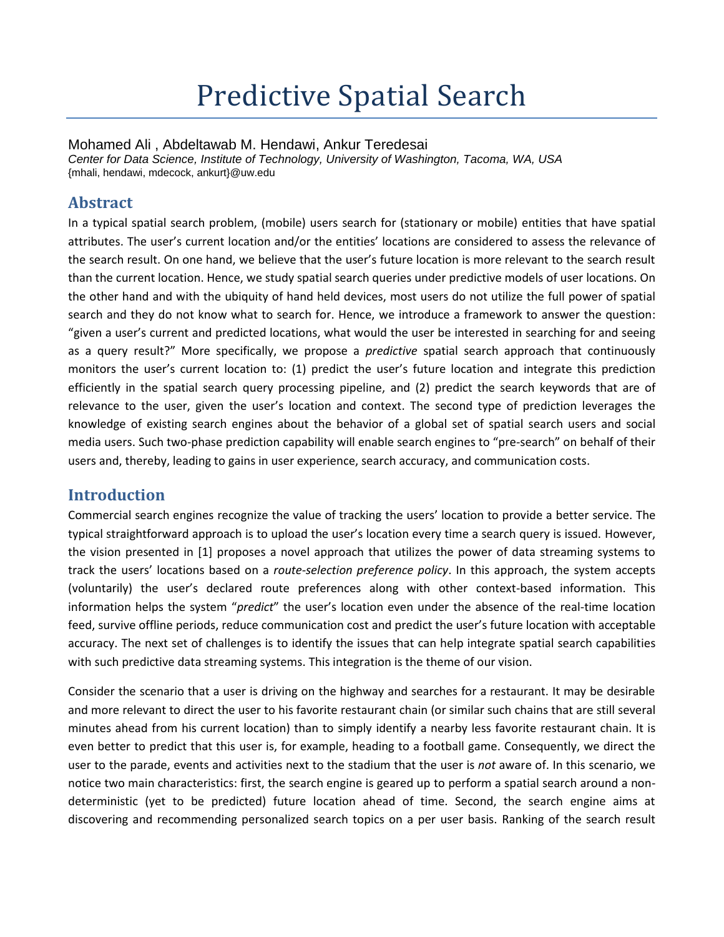# Predictive Spatial Search

Mohamed Ali , Abdeltawab M. Hendawi, Ankur Teredesai

*Center for Data Science, Institute of Technology, University of Washington, Tacoma, WA, USA* {mhali, hendawi, mdecock, ankurt}@uw.edu

## **Abstract**

In a typical spatial search problem, (mobile) users search for (stationary or mobile) entities that have spatial attributes. The user's current location and/or the entities' locations are considered to assess the relevance of the search result. On one hand, we believe that the user's future location is more relevant to the search result than the current location. Hence, we study spatial search queries under predictive models of user locations. On the other hand and with the ubiquity of hand held devices, most users do not utilize the full power of spatial search and they do not know what to search for. Hence, we introduce a framework to answer the question: "given a user's current and predicted locations, what would the user be interested in searching for and seeing as a query result?" More specifically, we propose a *predictive* spatial search approach that continuously monitors the user's current location to: (1) predict the user's future location and integrate this prediction efficiently in the spatial search query processing pipeline, and (2) predict the search keywords that are of relevance to the user, given the user's location and context. The second type of prediction leverages the knowledge of existing search engines about the behavior of a global set of spatial search users and social media users. Such two-phase prediction capability will enable search engines to "pre-search" on behalf of their users and, thereby, leading to gains in user experience, search accuracy, and communication costs.

### **Introduction**

Commercial search engines recognize the value of tracking the users' location to provide a better service. The typical straightforward approach is to upload the user's location every time a search query is issued. However, the vision presented in [1] proposes a novel approach that utilizes the power of data streaming systems to track the users' locations based on a *route-selection preference policy*. In this approach, the system accepts (voluntarily) the user's declared route preferences along with other context-based information. This information helps the system "*predict*" the user's location even under the absence of the real-time location feed, survive offline periods, reduce communication cost and predict the user's future location with acceptable accuracy. The next set of challenges is to identify the issues that can help integrate spatial search capabilities with such predictive data streaming systems. This integration is the theme of our vision.

Consider the scenario that a user is driving on the highway and searches for a restaurant. It may be desirable and more relevant to direct the user to his favorite restaurant chain (or similar such chains that are still several minutes ahead from his current location) than to simply identify a nearby less favorite restaurant chain. It is even better to predict that this user is, for example, heading to a football game. Consequently, we direct the user to the parade, events and activities next to the stadium that the user is *not* aware of. In this scenario, we notice two main characteristics: first, the search engine is geared up to perform a spatial search around a nondeterministic (yet to be predicted) future location ahead of time. Second, the search engine aims at discovering and recommending personalized search topics on a per user basis. Ranking of the search result